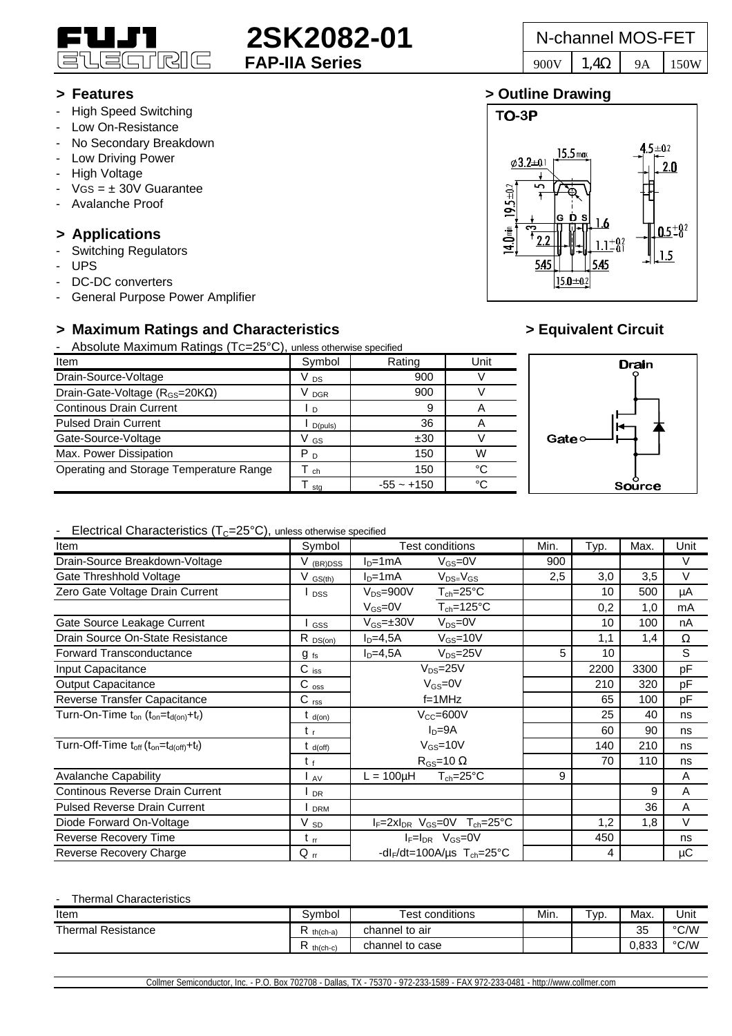

# **2SK2082-01** N-channel MOS-FET

 $15.5<sub>max</sub>$ 

Ď

 $|15.0 \pm 0.2|$ 

 $5 + 0.2$ 

 $2.0$ 

 $0.5\pm 0.2$ 

 $1.5$ 

TO-3P

 $19.5 \pm 0.2$ 

14.0 min

 $\varphi$ 3.2±0.1

 $54$ 

# **> Features > Outline Drawing**

- High Speed Switching
- Low On-Resistance
- No Secondary Breakdown
- Low Driving Power
- High Voltage
- $VGS = \pm 30V$  Guarantee
- Avalanche Proof

# **> Applications**

- Switching Regulators
- UPS
- DC-DC converters
- General Purpose Power Amplifier

# **> Maximum Ratings and Characteristics > Equivalent Circuit**

- Absolute Maximum Ratings (TC=25°C), unless otherwise specified

| Item                                          | Symbol               | Rating       | Unit |    |  |  |
|-----------------------------------------------|----------------------|--------------|------|----|--|--|
| Drain-Source-Voltage                          | V <sub>DS</sub>      | 900          |      |    |  |  |
| Drain-Gate-Voltage ( $R_{GS}$ =20K $\Omega$ ) | <b>DGR</b>           | 900          |      |    |  |  |
| <b>Continous Drain Current</b>                | $\blacksquare$       | 9            |      |    |  |  |
| <b>Pulsed Drain Current</b>                   | D(puls)              | 36           |      |    |  |  |
| Gate-Source-Voltage                           | V GS                 | ±30          |      | G: |  |  |
| Max. Power Dissipation                        | P <sub>D</sub>       | 150          | W    |    |  |  |
| Operating and Storage Temperature Range       | $\mathsf{\Gamma}$ ch | 150          | °C   |    |  |  |
|                                               | sta                  | $-55 - +150$ | °C   |    |  |  |

ĥ

545

 $.1^{+0.2}_{-0.1}$ 



# - Flectrical Characteristics  $(T<sub>C</sub>=25°C)$ , unless otherwise specified

| Item                                                                                | Symbol          | <b>Test conditions</b>                                      | Min. | Typ. | Max. | Unit   |
|-------------------------------------------------------------------------------------|-----------------|-------------------------------------------------------------|------|------|------|--------|
| Drain-Source Breakdown-Voltage                                                      | V (BR)DSS       | $V_{GS} = 0V$<br>$ID=1mA$                                   | 900  |      |      | $\vee$ |
| Gate Threshhold Voltage                                                             | $V$ $GS(th)$    | $ID=1mA$<br>$V_{DS=}V_{GS}$                                 | 2,5  | 3,0  | 3,5  | V      |
| Zero Gate Voltage Drain Current                                                     | <b>DSS</b>      | $T_{ch} = 25^{\circ}C$<br>$V_{DS} = 900V$                   |      | 10   | 500  | μA     |
|                                                                                     |                 | $T_{ch} = 125$ °C<br>$V_{GS}=0V$                            |      | 0,2  | 1,0  | mA     |
| Gate Source Leakage Current                                                         | GSS             | $V_{DS} = 0V$<br>$V_{GS} = \pm 30V$                         |      | 10   | 100  | nA     |
| Drain Source On-State Resistance                                                    | $R_{DS(on)}$    | $I_D=4,5A$<br>$V_{GS} = 10V$                                |      | 1,1  | 1,4  | Ω      |
| Forward Transconductance                                                            | $g_{fs}$        | $V_{DS} = 25V$<br>$ID=4,5A$                                 | 5    | 10   |      | S      |
| Input Capacitance                                                                   | $C$ iss         | $V_{DS} = 25V$                                              |      | 2200 | 3300 | pF     |
| <b>Output Capacitance</b>                                                           | $C_{\rm oss}$   | $V_{GS}=0V$                                                 |      | 210  | 320  | pF     |
| Reverse Transfer Capacitance                                                        | $C_{rss}$       | $f=1$ MHz                                                   |      | 65   | 100  | pF     |
| Turn-On-Time t <sub>on</sub> (t <sub>on</sub> =t <sub>d(on)</sub> +t <sub>r</sub> ) | $t_{d(0n)}$     | $V_{CC} = 600V$                                             |      | 25   | 40   | ns     |
|                                                                                     | $t_{r}$         | $ID=9A$                                                     |      | 60   | 90   | ns     |
| Turn-Off-Time $t_{off}$ ( $t_{on} = t_{d (off)} + t_f$ )                            | $t_{d(off)}$    | $V_{GS}$ =10V                                               |      | 140  | 210  | ns     |
|                                                                                     | $t_{f}$         | $R_{GS}$ =10 $\Omega$                                       |      | 70   | 110  | ns     |
| <b>Avalanche Capability</b>                                                         | l av            | $T_{ch} = 25^{\circ}C$<br>$L = 100 \mu H$                   | 9    |      |      | A      |
| Continous Reverse Drain Current                                                     | <b>DR</b>       |                                                             |      |      | 9    | A      |
| <b>Pulsed Reverse Drain Current</b>                                                 | <b>DRM</b>      |                                                             |      |      | 36   | A      |
| Diode Forward On-Voltage                                                            | V <sub>sp</sub> | $I_F = 2xI_{DR}$ V <sub>GS</sub> =0V $T_{ch} = 25^{\circ}C$ |      | 1,2  | 1,8  | $\vee$ |
| Reverse Recovery Time                                                               | $t_{rr}$        | $I_F = I_{DR}$ $V_{GS} = 0V$                                |      | 450  |      | ns     |
| Reverse Recovery Charge                                                             | $Q_{rr}$        | -dl <sub>F</sub> /dt=100A/us $T_{ch}$ =25°C                 |      | 4    |      | μC     |

### **Thermal Characteristics**

| Item                      | Symbol        | <b>Test conditions</b> | Min. | T <sub>VD</sub> | Max.     | Unit |
|---------------------------|---------------|------------------------|------|-----------------|----------|------|
| <b>Thermal Resistance</b> | $th(ch-a)$    | channel to air         |      |                 | つに<br>ບບ | °C/W |
|                           | D<br>th(ch-c) | channel to case        |      |                 | 0.833    | °C/W |